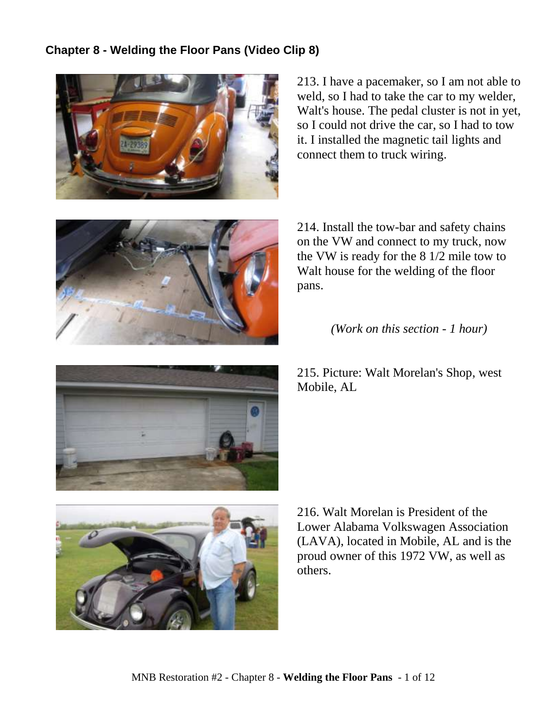## **Chapter 8 - Welding the Floor Pans (Video Clip 8)**



213. I have a pacemaker, so I am not able to weld, so I had to take the car to my welder, Walt's house. The pedal cluster is not in yet, so I could not drive the car, so I had to tow it. I installed the magnetic tail lights and connect them to truck wiring.



214. Install the tow-bar and safety chains on the VW and connect to my truck, now the VW is ready for the 8 1/2 mile tow to Walt house for the welding of the floor pans.

*(Work on this section - 1 hour)*

215. Picture: Walt Morelan's Shop, west Mobile, AL



216. Walt Morelan is President of the Lower Alabama Volkswagen Association (LAVA), located in Mobile, AL and is the proud owner of this 1972 VW, as well as others.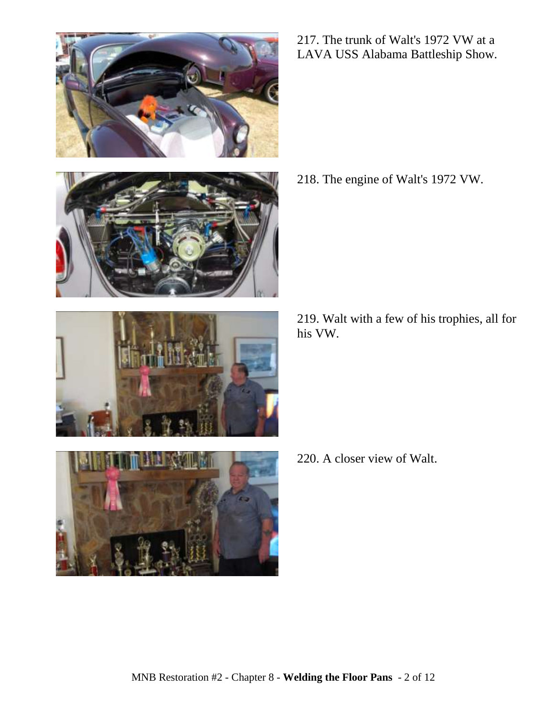







217. The trunk of Walt's 1972 VW at a LAVA USS Alabama Battleship Show.

218. The engine of Walt's 1972 VW.

219. Walt with a few of his trophies, all for his VW.

220. A closer view of Walt.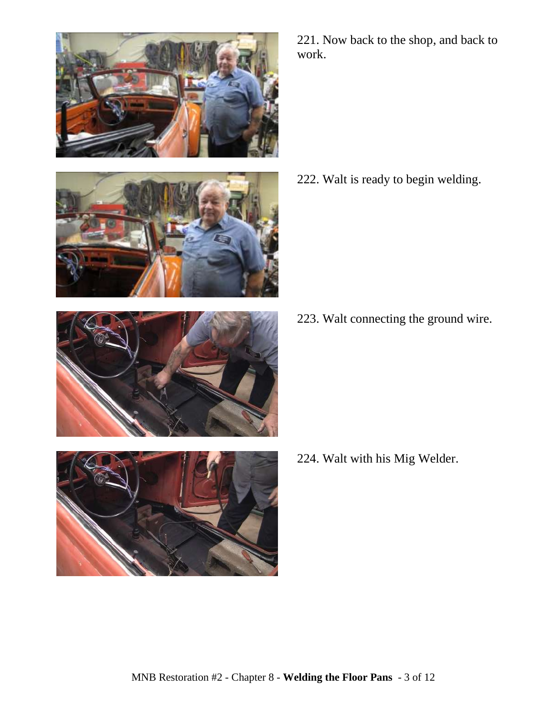





222. Walt is ready to begin welding.

223. Walt connecting the ground wire.



224. Walt with his Mig Welder.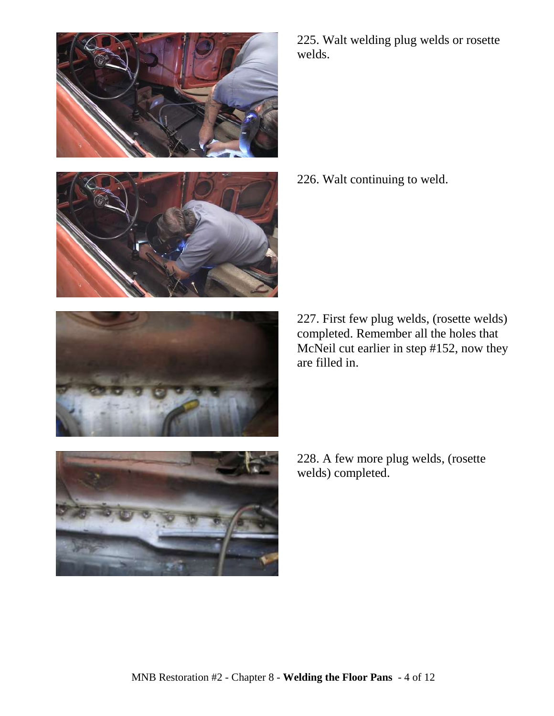







225. Walt welding plug welds or rosette welds.

226. Walt continuing to weld.

227. First few plug welds, (rosette welds) completed. Remember all the holes that McNeil cut earlier in step #152, now they are filled in.

228. A few more plug welds, (rosette welds) completed.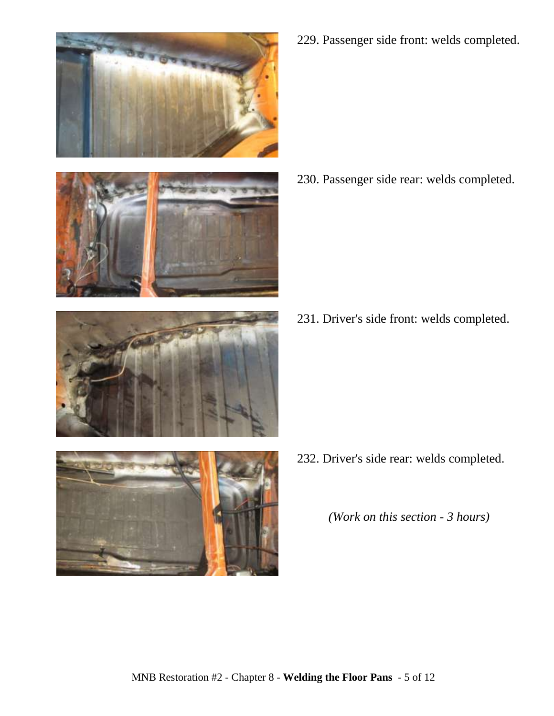

229. Passenger side front: welds completed.

230. Passenger side rear: welds completed.

231. Driver's side front: welds completed.



232. Driver's side rear: welds completed.

*(Work on this section - 3 hours)*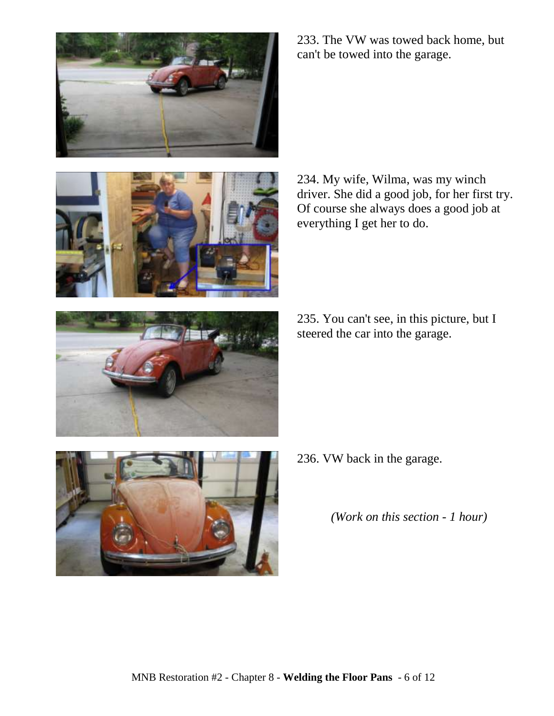



233. The VW was towed back home, but can't be towed into the garage.

234. My wife, Wilma, was my winch driver. She did a good job, for her first try. Of course she always does a good job at everything I get her to do.

235. You can't see, in this picture, but I steered the car into the garage.



236. VW back in the garage.

*(Work on this section - 1 hour)*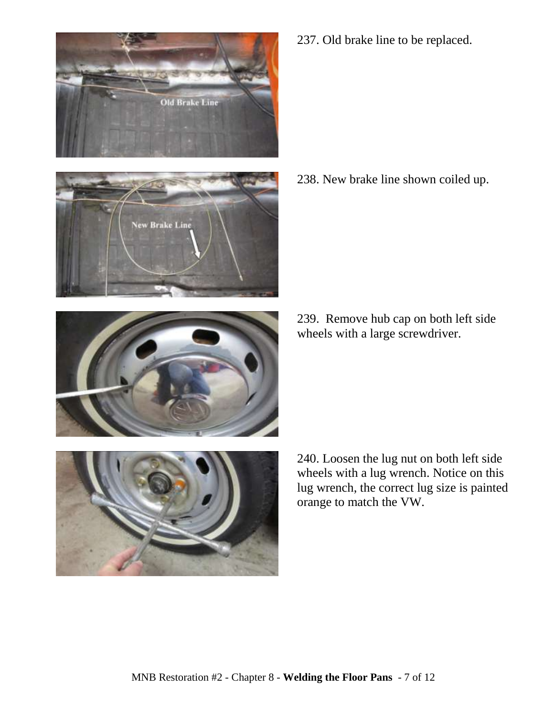



237. Old brake line to be replaced.

238. New brake line shown coiled up.

239. Remove hub cap on both left side wheels with a large screwdriver.



240. Loosen the lug nut on both left side wheels with a lug wrench. Notice on this lug wrench, the correct lug size is painted orange to match the VW.

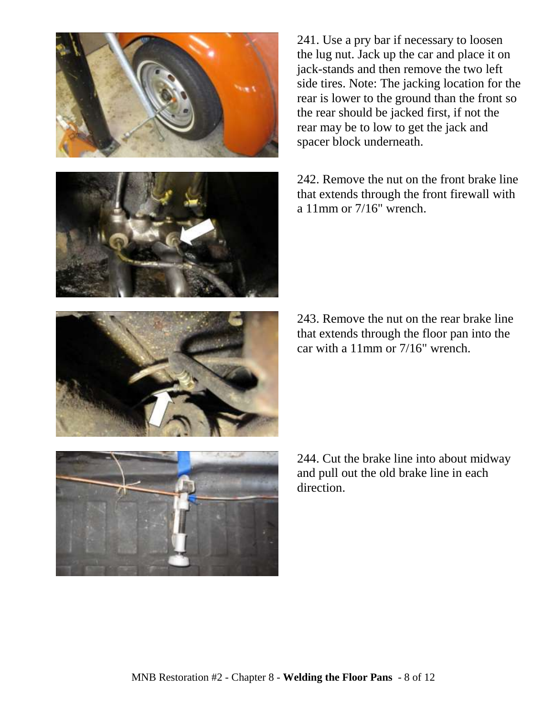



241. Use a pry bar if necessary to loosen the lug nut. Jack up the car and place it on jack-stands and then remove the two left side tires. Note: The jacking location for the rear is lower to the ground than the front so the rear should be jacked first, if not the rear may be to low to get the jack and spacer block underneath.

242. Remove the nut on the front brake line that extends through the front firewall with a 11mm or 7/16" wrench.

243. Remove the nut on the rear brake line that extends through the floor pan into the car with a 11mm or 7/16" wrench.



244. Cut the brake line into about midway and pull out the old brake line in each direction.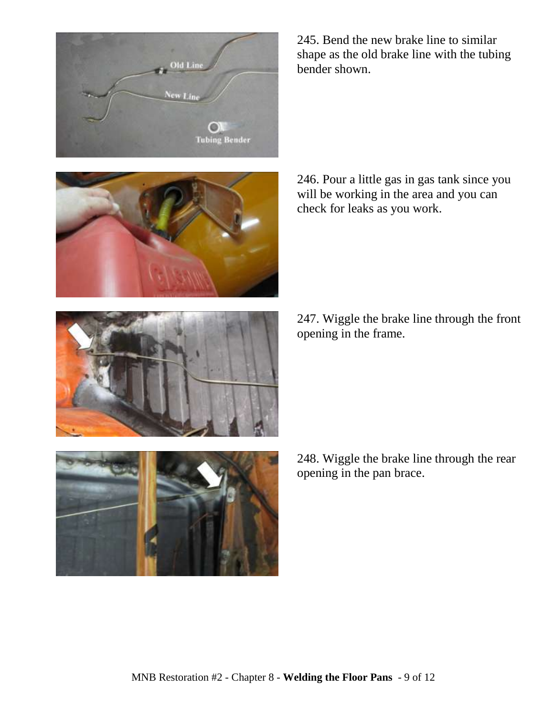





246. Pour a little gas in gas tank since you will be working in the area and you can check for leaks as you work.

247. Wiggle the brake line through the front opening in the frame.



248. Wiggle the brake line through the rear opening in the pan brace.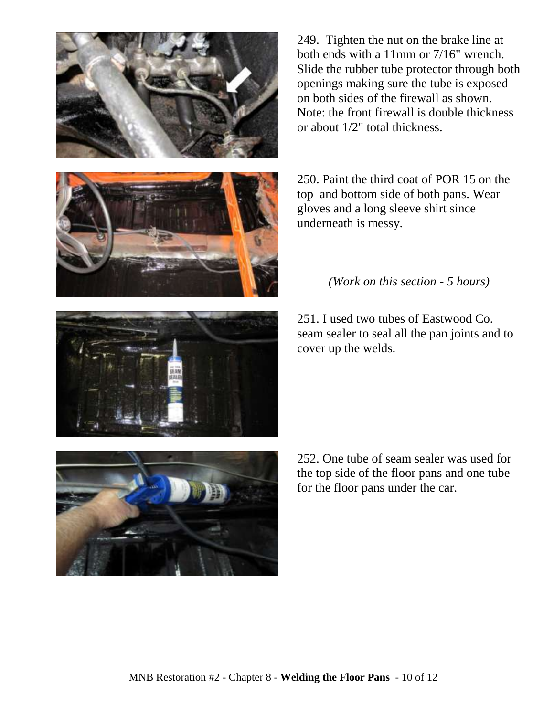



250. Paint the third coat of POR 15 on the top and bottom side of both pans. Wear gloves and a long sleeve shirt since underneath is messy.



*(Work on this section - 5 hours)*

251. I used two tubes of Eastwood Co. seam sealer to seal all the pan joints and to



252. One tube of seam sealer was used for the top side of the floor pans and one tube for the floor pans under the car.

MNB Restoration #2 - Chapter 8 - **Welding the Floor Pans** - 10 of 12

cover up the welds.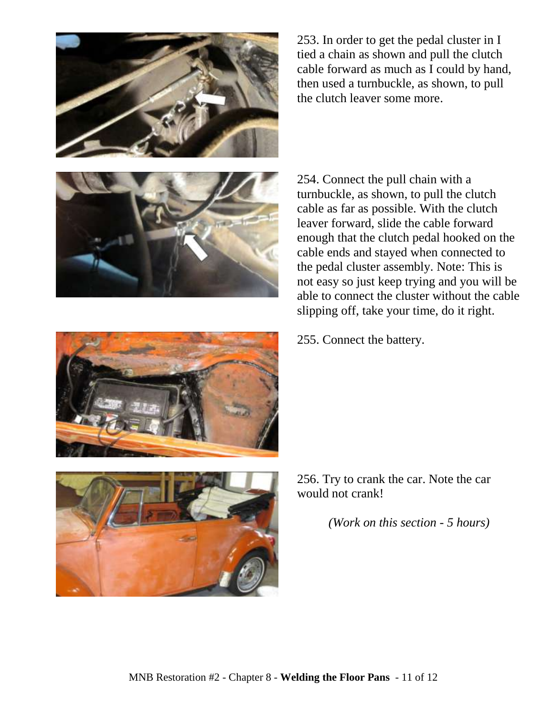

253. In order to get the pedal cluster in I tied a chain as shown and pull the clutch cable forward as much as I could by hand, then used a turnbuckle, as shown, to pull the clutch leaver some more.



254. Connect the pull chain with a turnbuckle, as shown, to pull the clutch cable as far as possible. With the clutch leaver forward, slide the cable forward enough that the clutch pedal hooked on the cable ends and stayed when connected to the pedal cluster assembly. Note: This is not easy so just keep trying and you will be able to connect the cluster without the cable slipping off, take your time, do it right.

255. Connect the battery.



256. Try to crank the car. Note the car would not crank!

*(Work on this section - 5 hours)*